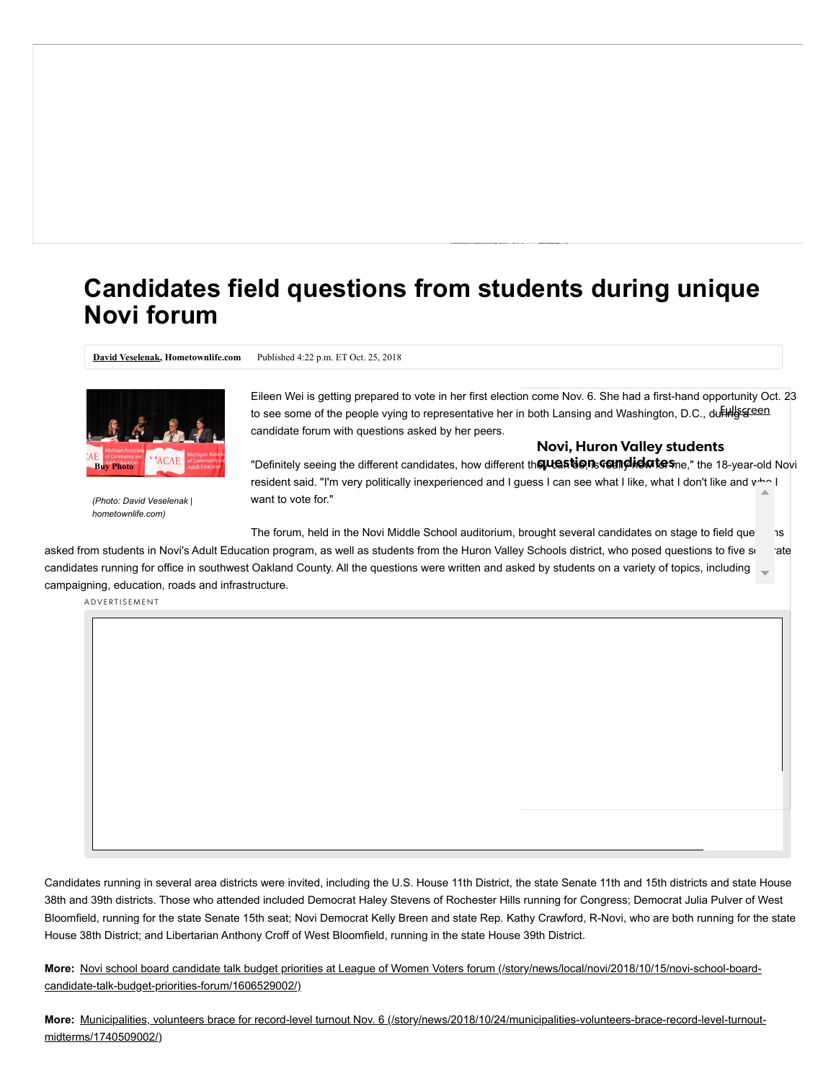## **Candidates field questions from students during unique Novi forum**

**[David Veselenak](http://staff/15401/david-veselenak/), Hometownlife.com** Published 4:22 p.m. ET Oct. 25, 2018



*(Photo: David Veselenak | hometownlife.com)*

Eileen Wei is getting prepared to vote in her first election come Nov. 6. She had a first-hand opportunity Oct. 23 to see some of the people vying to representative her in both La[nsing a](https://twitter.com/intent/tweet?url=https://www.hometownlife.com/story/news/local/novi/2018/10/25/candidates-field-questions-students-during-unique-novi-forum/1739132002/&text=Candidates%20field%20questions%20from%20students%20during%20unique%20Novi%20forum&via=hometownlife)[nd Wa](https://plus.google.com/share?url=https://www.hometownlife.com/story/news/local/novi/2018/10/25/candidates-field-questions-students-during-unique-novi-forum/1739132002/null)s[hingto](http://www.linkedin.com/shareArticle?url=https://www.hometownlife.com/story/news/local/novi/2018/10/25/candidates-field-questions-students-during-unique-novi-forum/1739132002/&mini=true)n, D.C., du<del>ring green</del> candidate forum with questions asked by her peers.

## **Novi, Huron Valley students**

"Definitely seeing the different candidates, how different th**eµuestionscemdielates**ne," the 18-year-old Novi resident said. "I'm very politically inexperienced and I guess I can see what I like, what I don't like and who I want to vote for."

The forum, held in the Novi Middle School auditorium, brought several candidates on stage to field que s asked from students in Novi's Adult Education program, as well as students from the Huron Valley Schools district, who posed questions to five se candidates running for office in southwest Oakland County. All the questions were written and asked by students on a variety of topics, including campaigning, education, roads and infrastructure.

ADVERTISEMENT

Candidates running in several area districts were invited, including the U.S. House 11th District, the state Senate 11th and 15th districts and state House 38th and 39th districts. Those who attended included Democrat Haley Stevens of Rochester Hills running for Congress; Democrat Julia Pulver of West Bloomfield, running for the state Senate 15th seat; Novi Democrat Kelly Breen and state Rep. Kathy Crawford, R-Novi, who are both running for the state House 38th District; and Libertarian Anthony Croff of West Bloomfield, running in the state House 39th District.

**More:** [Novi school board candidate talk budget priorities at League of Women Voters forum \(/story/news/local/novi/2018/10/15/novi-school-board](https://www.hometownlife.com/story/news/local/novi/2018/10/15/novi-school-board-candidate-talk-budget-priorities-forum/1606529002/)candidate-talk-budget-priorities-forum/1606529002/)

**More:** [Municipalities, volunteers brace for record-level turnout Nov. 6 \(/story/news/2018/10/24/municipalities-volunteers-brace-record-level-turnout](https://www.hometownlife.com/story/news/2018/10/24/municipalities-volunteers-brace-record-level-turnout-midterms/1740509002/)midterms/1740509002/)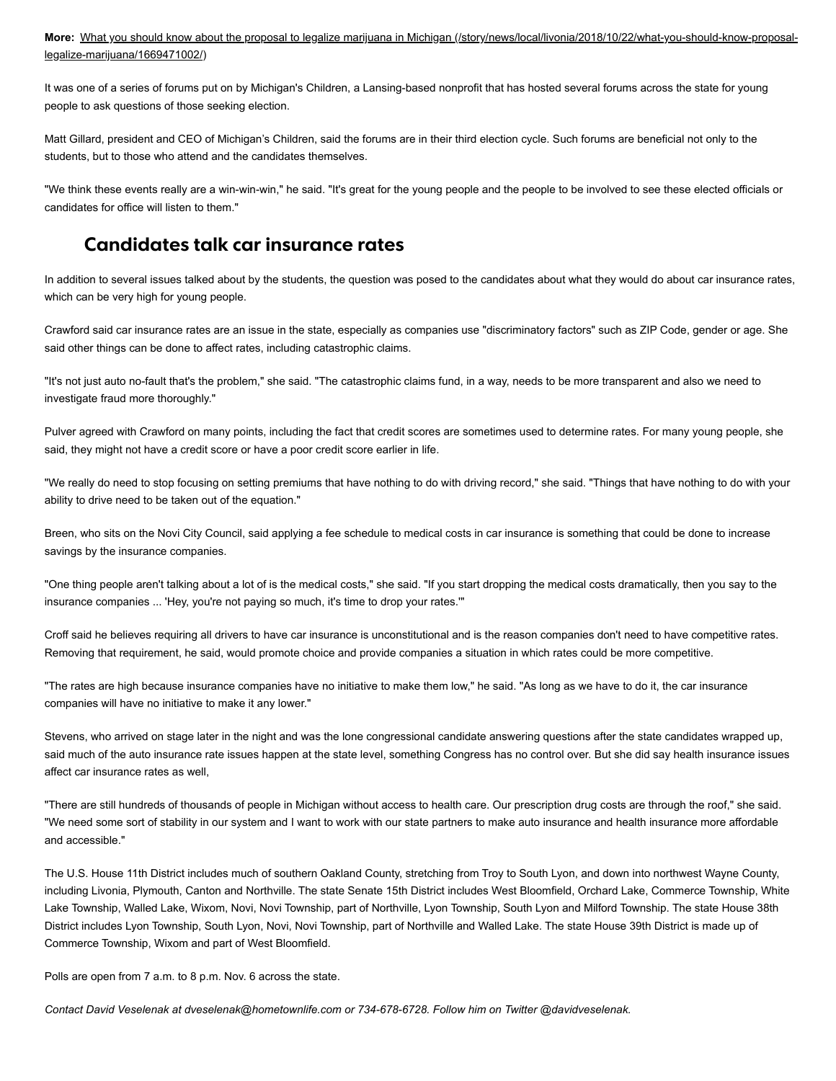**More:** [What you should know about the proposal to legalize marijuana in Michigan \(/story/news/local/livonia/2018/10/22/what-you-should-know-proposal](https://www.hometownlife.com/story/news/local/livonia/2018/10/22/what-you-should-know-proposal-legalize-marijuana/1669471002/)legalize-marijuana/1669471002/)

It was one of a series of forums put on by Michigan's Children, a Lansing-based nonprofit that has hosted several forums across the state for young people to ask questions of those seeking election.

Matt Gillard, president and CEO of Michigan's Children, said the forums are in their third election cycle. Such forums are beneficial not only to the students, but to those who attend and the candidates themselves.

"We think these events really are a win-win-win," he said. "It's great for the young people and the people to be involved to see these elected officials or candidates for office will listen to them."

## **Candidates talk car insurance rates**

In addition to several issues talked about by the students, the question was posed to the candidates about what they would do about car insurance rates, which can be very high for young people.

Crawford said car insurance rates are an issue in the state, especially as companies use "discriminatory factors" such as ZIP Code, gender or age. She said other things can be done to affect rates, including catastrophic claims.

"It's not just auto no-fault that's the problem," she said. "The catastrophic claims fund, in a way, needs to be more transparent and also we need to investigate fraud more thoroughly."

Pulver agreed with Crawford on many points, including the fact that credit scores are sometimes used to determine rates. For many young people, she said, they might not have a credit score or have a poor credit score earlier in life.

"We really do need to stop focusing on setting premiums that have nothing to do with driving record," she said. "Things that have nothing to do with your ability to drive need to be taken out of the equation."

Breen, who sits on the Novi City Council, said applying a fee schedule to medical costs in car insurance is something that could be done to increase savings by the insurance companies.

"One thing people aren't talking about a lot of is the medical costs," she said. "If you start dropping the medical costs dramatically, then you say to the insurance companies ... 'Hey, you're not paying so much, it's time to drop your rates.""

Croff said he believes requiring all drivers to have car insurance is unconstitutional and is the reason companies don't need to have competitive rates. Removing that requirement, he said, would promote choice and provide companies a situation in which rates could be more competitive.

"The rates are high because insurance companies have no initiative to make them low," he said. "As long as we have to do it, the car insurance companies will have no initiative to make it any lower."

Stevens, who arrived on stage later in the night and was the lone congressional candidate answering questions after the state candidates wrapped up, said much of the auto insurance rate issues happen at the state level, something Congress has no control over. But she did say health insurance issues affect car insurance rates as well,

"There are still hundreds of thousands of people in Michigan without access to health care. Our prescription drug costs are through the roof," she said. "We need some sort of stability in our system and I want to work with our state partners to make auto insurance and health insurance more affordable and accessible."

The U.S. House 11th District includes much of southern Oakland County, stretching from Troy to South Lyon, and down into northwest Wayne County, including Livonia, Plymouth, Canton and Northville. The state Senate 15th District includes West Bloomfield, Orchard Lake, Commerce Township, White Lake Township, Walled Lake, Wixom, Novi, Novi Township, part of Northville, Lyon Township, South Lyon and Milford Township. The state House 38th District includes Lyon Township, South Lyon, Novi, Novi Township, part of Northville and Walled Lake. The state House 39th District is made up of Commerce Township, Wixom and part of West Bloomfield.

Polls are open from 7 a.m. to 8 p.m. Nov. 6 across the state.

*Contact David Veselenak at dveselenak@hometownlife.com or 734-678-6728. Follow him on Twitter @davidveselenak.*